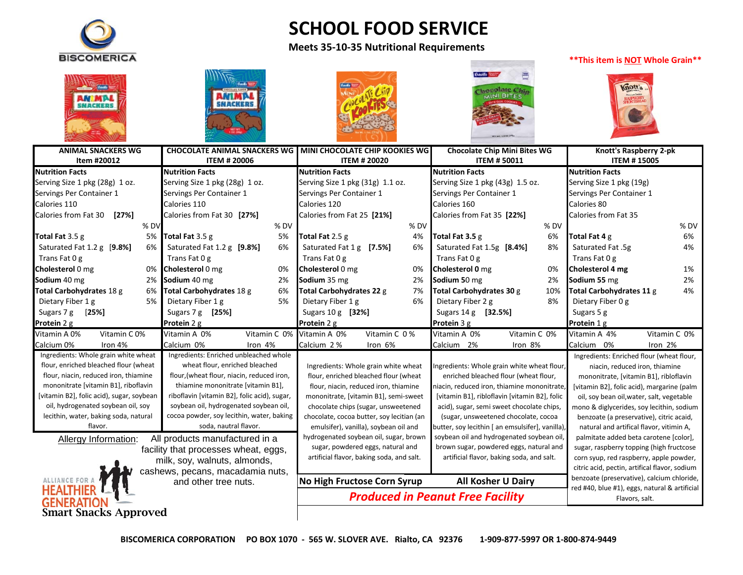

# **SCHOOL FOOD SERVICE**

### **Meets 35-10-35 Nutritional Requirements**

#### **\*\*This item is NOT Whole Grain\*\***











| <b>ANIMAL SNACKERS WG</b>                 |      | <b>CHOCOLATE ANIMAL SNACKERS WG</b>          |                                                   | <b>MINI CHOCOLATE CHIP KOOKIES WG</b>     |              | <b>Chocolate Chip Mini Bites WG</b>         |                                                  | Knott's Raspberry 2-pk                                                                      |                                           |              |
|-------------------------------------------|------|----------------------------------------------|---------------------------------------------------|-------------------------------------------|--------------|---------------------------------------------|--------------------------------------------------|---------------------------------------------------------------------------------------------|-------------------------------------------|--------------|
| Item #20012                               |      | <b>ITEM # 20006</b>                          |                                                   | <b>ITEM # 20020</b>                       |              | <b>ITEM #50011</b>                          |                                                  | <b>ITEM #15005</b>                                                                          |                                           |              |
| <b>Nutrition Facts</b>                    |      | <b>Nutrition Facts</b>                       |                                                   | <b>Nutrition Facts</b>                    |              |                                             | <b>Nutrition Facts</b>                           |                                                                                             | <b>Nutrition Facts</b>                    |              |
| Serving Size 1 pkg (28g) 1 oz.            |      | Serving Size 1 pkg (28g) 1 oz.               |                                                   | Serving Size 1 pkg (31g) 1.1 oz.          |              |                                             | Serving Size 1 pkg (43g) 1.5 oz.                 |                                                                                             | Serving Size 1 pkg (19g)                  |              |
| Servings Per Container 1                  |      | Servings Per Container 1                     |                                                   | Servings Per Container 1                  |              |                                             | Servings Per Container 1                         |                                                                                             | Servings Per Container 1                  |              |
| Calories 110                              |      | Calories 110                                 |                                                   | Calories 120                              |              |                                             | Calories 160                                     |                                                                                             | Calories 80                               |              |
| Calories from Fat 30<br>$[27\%]$          |      | Calories from Fat 30 [27%]                   |                                                   | Calories from Fat 25 [21%]                |              |                                             | Calories from Fat 35 [22%]                       |                                                                                             | Calories from Fat 35                      |              |
|                                           | % DV |                                              | % DV                                              |                                           |              | % DV                                        |                                                  | % DV                                                                                        |                                           | % DV         |
| Total Fat $3.5 g$                         | 5%   | Total Fat 3.5 g                              | 5%                                                | Total Fat 2.5 g                           |              | 4%                                          | Total Fat 3.5 g                                  | 6%                                                                                          | Total Fat 4 g                             | 6%           |
| Saturated Fat 1.2 g [9.8%]                | 6%   | Saturated Fat 1.2 g [9.8%]                   | 6%                                                | Saturated Fat 1 g [7.5%]                  |              | 6%                                          | Saturated Fat 1.5g [8.4%]                        | 8%                                                                                          | Saturated Fat .5g                         | 4%           |
| Trans Fat 0 g                             |      | Trans Fat 0 g                                |                                                   | Trans Fat 0 g                             |              |                                             | Trans Fat 0 g                                    |                                                                                             | Trans Fat 0 g                             |              |
| Cholesterol 0 mg                          | 0%   | Cholesterol 0 mg                             | 0%                                                | Cholesterol 0 mg                          |              | 0%                                          | Cholesterol 0 mg                                 | 0%                                                                                          | Cholesterol 4 mg                          | 1%           |
| Sodium 40 mg                              | 2%   | Sodium 40 mg                                 | 2%                                                | Sodium 35 mg                              |              | 2%                                          | Sodium 50 mg                                     | 2%                                                                                          | Sodium 55 mg                              | 2%           |
| Total Carbohydrates 18 g                  | 6%   | Total Carbohydrates 18 g                     | 6%                                                | Total Carbohydrates 22 g                  |              | 7%                                          | Total Carbohydrates 30 g                         | 10%                                                                                         | Total Carbohydrates 11 g                  | 4%           |
| Dietary Fiber 1 g                         | 5%   | Dietary Fiber 1 g                            | 5%                                                | Dietary Fiber 1 g                         |              | 6%                                          | Dietary Fiber 2 g                                | 8%                                                                                          | Dietary Fiber 0 g                         |              |
| Sugars 7 g<br>$[25\%]$                    |      | Sugars 7 g [25%]                             |                                                   | Sugars 10 g [32%]                         |              |                                             | Sugars 14 g [32.5%]                              |                                                                                             | Sugars 5 g                                |              |
| Protein 2 g                               |      | Protein 2 g                                  |                                                   | Protein 2 g                               |              |                                             | Protein 3 g                                      |                                                                                             | Protein 1 g                               |              |
| Vitamin C <sub>0%</sub><br>Vitamin A 0%   |      | Vitamin A 0%                                 | Vitamin C 0%                                      | Vitamin A 0%                              | Vitamin C 0% |                                             | Vitamin A 0%                                     | Vitamin C 0%                                                                                | Vitamin A 4%                              | Vitamin C 0% |
| Calcium 0%<br>Iron 4%                     |      | Calcium 0%                                   | Iron 4%                                           | Calcium 2 %                               | Iron 6%      |                                             | Calcium 2%                                       | Iron 8%                                                                                     | Calcium 0%                                | Iron 2%      |
| Ingredients: Whole grain white wheat      |      | Ingredients: Enriched unbleached whole       |                                                   |                                           |              |                                             |                                                  |                                                                                             | Ingredients: Enriched flour (wheat flour, |              |
| flour, enriched bleached flour (wheat     |      | wheat flour, enriched bleached               |                                                   | Ingredients: Whole grain white wheat      |              | Ingredients: Whole grain white wheat flour, |                                                  | niacin, reduced iron, thiamine                                                              |                                           |              |
| flour, niacin, reduced iron, thiamine     |      | flour, (wheat flour, niacin, reduced iron,   |                                                   | flour, enriched bleached flour (wheat     |              | enriched bleached flour (wheat flour,       |                                                  | mononitrate, [vitamin B1], ribloflavin                                                      |                                           |              |
| mononitrate [vitamin B1], riboflavin      |      | thiamine mononitrate [vitamin B1],           |                                                   | flour, niacin, reduced iron, thiamine     |              | niacin, reduced iron, thiamine mononitrate, |                                                  | [vitamin B2], folic acid), margarine (palm                                                  |                                           |              |
| [vitamin B2], folic acid), sugar, soybean |      | riboflavin [vitamin B2], folic acid), sugar, |                                                   | mononitrate, [vitamin B1], semi-sweet     |              |                                             | [vitamin B1], ribloflavin [vitamin B2], folic    |                                                                                             | oil, soy bean oil, water, salt, vegetable |              |
| oil, hydrogenated soybean oil, soy        |      | soybean oil, hydrogenated soybean oil,       |                                                   | chocolate chips (sugar, unsweetened       |              |                                             | acid), sugar, semi sweet chocolate chips,        |                                                                                             | mono & diglycerides, soy lecithin, sodium |              |
| lecithin, water, baking soda, natural     |      | cocoa powder, soy lecithin, water, baking    |                                                   | chocolate, cocoa butter, soy lecitian (an |              |                                             | (sugar, unsweetened chocolate, cocoa             |                                                                                             | benzoate (a preservative), citric acaid,  |              |
| flavor.                                   |      | soda, nautral flavor.                        |                                                   | emulsifer), vanilla), soybean oil and     |              |                                             | butter, soy lecithin [ an emsulsifer], vanilla), |                                                                                             | natural and artifical flavor, vitimin A,  |              |
| Allergy Information:                      |      | All products manufactured in a               |                                                   | hydrogenated soybean oil, sugar, brown    |              |                                             | soybean oil and hydrogenated soybean oil,        |                                                                                             | palmitate added beta carotene [color],    |              |
|                                           |      | facility that processes wheat, eggs,         |                                                   | sugar, powdered eggs, natural and         |              |                                             | brown sugar, powdered eggs, natural and          |                                                                                             | sugar, raspberry topping (high fructcose  |              |
| milk, soy, walnuts, almonds,              |      |                                              | artificial flavor, baking soda, and salt.         |                                           |              | artificial flavor, baking soda, and salt.   |                                                  | corn syup, red raspberry, apple powder,                                                     |                                           |              |
| cashews, pecans, macadamia nuts,          |      |                                              |                                                   |                                           |              |                                             |                                                  | citric acid, pectin, artifical flavor, sodium<br>benzoate (preservative), calcium chloride, |                                           |              |
| ALLIANCE FOR A<br>and other tree nuts.    |      |                                              | All Kosher U Dairy<br>No High Fructose Corn Syrup |                                           |              |                                             |                                                  | red #40, blue #1), eggs, natural & artificial                                               |                                           |              |
| <b>HEALTHIER</b><br><b>GENERATION</b>     |      |                                              | <b>Produced in Peanut Free Facility</b>           |                                           |              |                                             |                                                  | Flavors, salt.                                                                              |                                           |              |
| <b>Smart Snacks Approved</b>              |      |                                              |                                                   |                                           |              |                                             |                                                  |                                                                                             |                                           |              |
|                                           |      |                                              |                                                   |                                           |              |                                             |                                                  |                                                                                             |                                           |              |